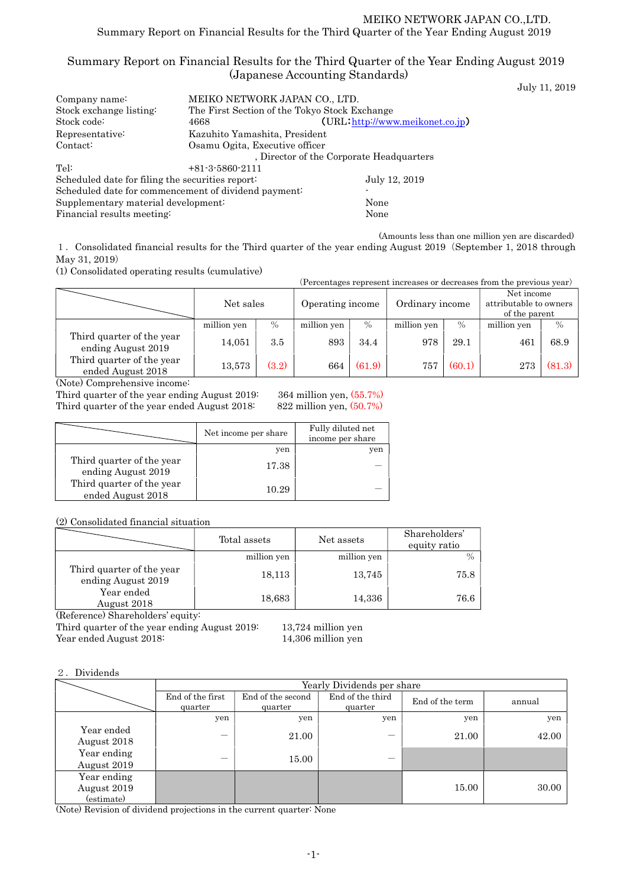# Summary Report on Financial Results for the Third Quarter of the Year Ending August 2019 (Japanese Accounting Standards)

July 11, 2019

| Company name:                                        | MEIKO NETWORK JAPAN CO., LTD.                 |                                          |  |  |  |
|------------------------------------------------------|-----------------------------------------------|------------------------------------------|--|--|--|
| Stock exchange listing:                              | The First Section of the Tokyo Stock Exchange |                                          |  |  |  |
| Stock code:                                          | 4668                                          | (URL http://www.meikonet.co.jp)          |  |  |  |
| Representative:                                      | Kazuhito Yamashita, President                 |                                          |  |  |  |
| Contact:                                             | Osamu Ogita, Executive officer                |                                          |  |  |  |
|                                                      |                                               | , Director of the Corporate Headquarters |  |  |  |
| Tel:                                                 | $+81-3-5860-2111$                             |                                          |  |  |  |
| Scheduled date for filing the securities report:     |                                               | July 12, 2019                            |  |  |  |
| Scheduled date for commencement of dividend payment: |                                               |                                          |  |  |  |
| Supplementary material development:                  |                                               | None                                     |  |  |  |
| Financial results meeting:                           | None                                          |                                          |  |  |  |

(Amounts less than one million yen are discarded)

1.Consolidated financial results for the Third quarter of the year ending August 2019(September 1, 2018 through May 31, 2019)

(1) Consolidated operating results (cumulative)

| (Percentages represent increases or decreases from the previous year)  |             |                               |             |        |                 |        |                                                       |               |
|------------------------------------------------------------------------|-------------|-------------------------------|-------------|--------|-----------------|--------|-------------------------------------------------------|---------------|
|                                                                        |             | Net sales<br>Operating income |             |        | Ordinary income |        | Net income<br>attributable to owners<br>of the parent |               |
|                                                                        | million yen | $\%$                          | million yen | $\%$   | million yen     | $\%$   | million yen                                           | $\frac{0}{0}$ |
| Third quarter of the year<br>ending August 2019                        | 14,051      | 3.5                           | 893         | 34.4   | 978             | 29.1   | 461                                                   | 68.9          |
| Third quarter of the year<br>ended August 2018<br>$\sim$ $\sim$ $\sim$ | 13,573      | (3.2)                         | 664         | (61.9) | 757             | (60.1) | 273                                                   | (81.3)        |

(Note) Comprehensive income:

Third quarter of the year ending August 2019: 364 million yen, (55.7%) Third quarter of the year ended August 2018: 822 million yen,  $(50.7%)$ 

|                                                 | Net income per share | Fully diluted net<br>income per share |
|-------------------------------------------------|----------------------|---------------------------------------|
|                                                 | yen                  | yen                                   |
| Third quarter of the year<br>ending August 2019 | 17.38                |                                       |
| Third quarter of the year<br>ended August 2018  | 10.29                |                                       |

(2) Consolidated financial situation

|                                                 | Total assets | Net assets  | Shareholders'<br>equity ratio |
|-------------------------------------------------|--------------|-------------|-------------------------------|
|                                                 | million yen  | million yen |                               |
| Third quarter of the year<br>ending August 2019 | 18,113       | 13,745      | 75.8                          |
| Year ended<br>August 2018                       | 18,683       | 14,336      | 76.6                          |

(Reference) Shareholders' equity:

Third quarter of the year ending August 2019: 13,724 million yen Year ended August 2018: 14,306 million yen

### 2.Dividends

|                                          | Yearly Dividends per share  |                              |                             |                 |        |  |  |
|------------------------------------------|-----------------------------|------------------------------|-----------------------------|-----------------|--------|--|--|
|                                          | End of the first<br>quarter | End of the second<br>quarter | End of the third<br>quarter | End of the term | annual |  |  |
|                                          | yen                         | yen                          | yen                         | yen             | yen    |  |  |
| Year ended<br>August 2018                |                             | 21.00                        |                             | 21.00           | 42.00  |  |  |
| Year ending<br>August 2019               | –                           | 15.00                        |                             |                 |        |  |  |
| Year ending<br>August 2019<br>(estimate) |                             |                              |                             | 15.00           | 30.00  |  |  |

(Note) Revision of dividend projections in the current quarter: None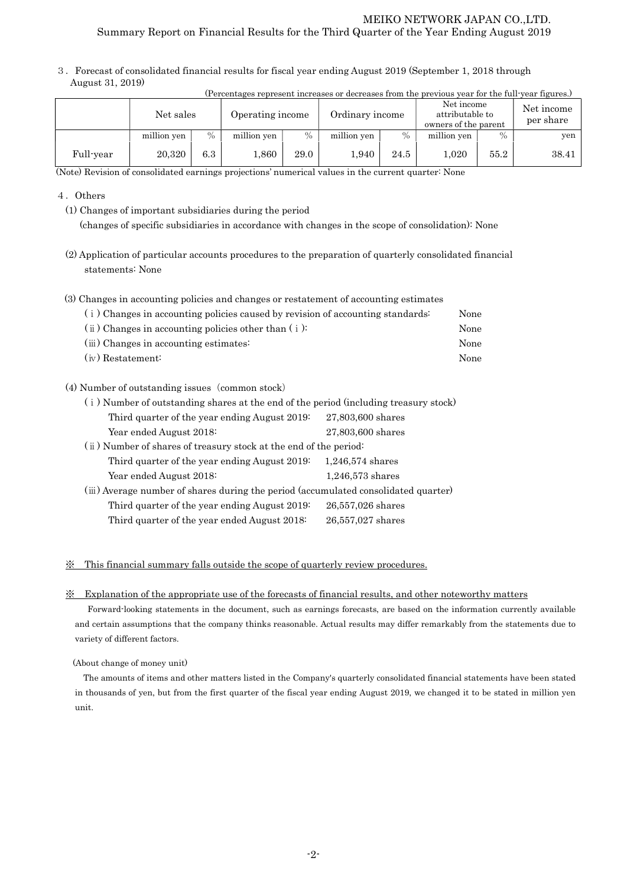3.Forecast of consolidated financial results for fiscal year ending August 2019 (September 1, 2018 through August 31, 2019)

| (Percentages represent increases or decreases from the previous year for the full-year figures.) |             |      |                  |      |                 |      |                                                       |               |                         |
|--------------------------------------------------------------------------------------------------|-------------|------|------------------|------|-----------------|------|-------------------------------------------------------|---------------|-------------------------|
|                                                                                                  | Net sales   |      | Operating income |      | Ordinary income |      | Net income<br>attributable to<br>owners of the parent |               | Net income<br>per share |
|                                                                                                  | million yen | $\%$ | million yen      | $\%$ | million yen     | $\%$ | million yen                                           | $\frac{0}{0}$ | yen                     |
| Full-year                                                                                        | 20,320      | 6.3  | 1,860            | 29.0 | 1,940           | 24.5 | 1.020                                                 | 55.2          | 38.41                   |

(Note) Revision of consolidated earnings projections' numerical values in the current quarter: None

#### 4.Others

(1) Changes of important subsidiaries during the period

(changes of specific subsidiaries in accordance with changes in the scope of consolidation): None

(2) Application of particular accounts procedures to the preparation of quarterly consolidated financial statements: None

| (3) Changes in accounting policies and changes or restatement of accounting estimates |      |
|---------------------------------------------------------------------------------------|------|
| (i) Changes in accounting policies caused by revision of accounting standards:        | None |
| $(i)$ Changes in accounting policies other than $(i)$ :                               | None |

- (ⅲ) Changes in accounting estimates: None (ⅳ) Restatement: None
- (4) Number of outstanding issues (common stock)

| (i) Number of outstanding shares at the end of the period (including treasury stock) |                    |  |  |  |  |
|--------------------------------------------------------------------------------------|--------------------|--|--|--|--|
| Third quarter of the year ending August 2019:                                        | 27,803,600 shares  |  |  |  |  |
| Year ended August 2018:                                                              | 27,803,600 shares  |  |  |  |  |
| (ii) Number of shares of treasury stock at the end of the period:                    |                    |  |  |  |  |
| Third quarter of the year ending August 2019.                                        | $1,246,574$ shares |  |  |  |  |
| Year ended August 2018:                                                              | $1,246,573$ shares |  |  |  |  |
| (iii) Average number of shares during the period (accumulated consolidated quarter)  |                    |  |  |  |  |
| Third quarter of the year ending August 2019:                                        | 26,557,026 shares  |  |  |  |  |
| Third quarter of the year ended August 2018:                                         | 26,557,027 shares  |  |  |  |  |

#### ※ This financial summary falls outside the scope of quarterly review procedures.

#### ※ Explanation of the appropriate use of the forecasts of financial results, and other noteworthy matters

Forward-looking statements in the document, such as earnings forecasts, are based on the information currently available and certain assumptions that the company thinks reasonable. Actual results may differ remarkably from the statements due to variety of different factors.

#### (About change of money unit)

The amounts of items and other matters listed in the Company's quarterly consolidated financial statements have been stated in thousands of yen, but from the first quarter of the fiscal year ending August 2019, we changed it to be stated in million yen unit.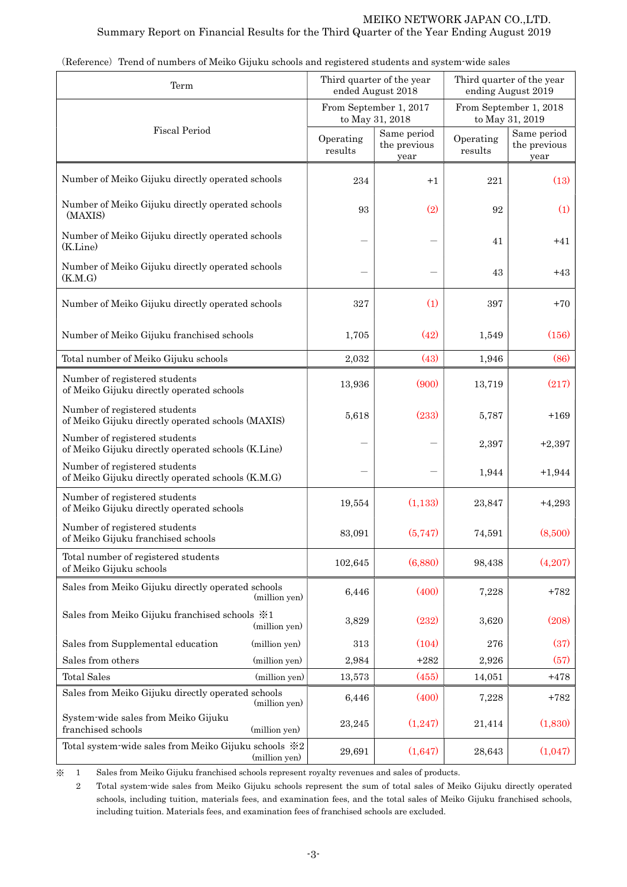| Term                                                                                |               |                      | Third quarter of the year<br>ended August 2018 | Third quarter of the year<br>ending August 2019 |                                           |  |
|-------------------------------------------------------------------------------------|---------------|----------------------|------------------------------------------------|-------------------------------------------------|-------------------------------------------|--|
|                                                                                     |               |                      | From September 1, 2017<br>to May 31, 2018      |                                                 | From September 1, 2018<br>to May 31, 2019 |  |
| <b>Fiscal Period</b>                                                                |               | Operating<br>results | Same period<br>the previous<br>year            | Operating<br>results                            | Same period<br>the previous<br>year       |  |
| Number of Meiko Gijuku directly operated schools                                    |               | 234                  | $+1$                                           | 221                                             | (13)                                      |  |
| Number of Meiko Gijuku directly operated schools<br>(MAXIS)                         |               | 93                   | (2)                                            | 92                                              | (1)                                       |  |
| Number of Meiko Gijuku directly operated schools<br>(K.Line)                        |               |                      |                                                | 41                                              | $+41$                                     |  |
| Number of Meiko Gijuku directly operated schools<br>(K.M.G)                         |               |                      |                                                | 43                                              | $+43$                                     |  |
| Number of Meiko Gijuku directly operated schools                                    |               | 327                  | (1)                                            | 397                                             | $+70$                                     |  |
| Number of Meiko Gijuku franchised schools                                           |               | 1,705                | (42)                                           | 1,549                                           | (156)                                     |  |
| Total number of Meiko Gijuku schools                                                |               | 2,032                | (43)                                           | 1,946                                           | (86)                                      |  |
| Number of registered students<br>of Meiko Gijuku directly operated schools          |               | 13,936               | (900)                                          | 13,719                                          | (217)                                     |  |
| Number of registered students<br>of Meiko Gijuku directly operated schools (MAXIS)  |               | 5,618                | (233)                                          | 5,787                                           | $+169$                                    |  |
| Number of registered students<br>of Meiko Gijuku directly operated schools (K.Line) |               |                      |                                                | 2,397                                           | $+2,397$                                  |  |
| Number of registered students<br>of Meiko Gijuku directly operated schools (K.M.G)  |               |                      |                                                | 1,944                                           | $+1,944$                                  |  |
| Number of registered students<br>of Meiko Gijuku directly operated schools          |               | 19,554               | (1,133)                                        | 23,847                                          | $+4,293$                                  |  |
| Number of registered students<br>of Meiko Gijuku franchised schools                 |               | 83,091               | (5,747)                                        | 74,591                                          | (8,500)                                   |  |
| Total number of registered students<br>of Meiko Gijuku schools                      |               | 102,645              | (6,880)                                        | 98,438                                          | (4,207)                                   |  |
| Sales from Meiko Gijuku directly operated schools                                   | (million yen) | 6,446                | (400)                                          | 7,228                                           | $+782$                                    |  |
| Sales from Meiko Gijuku franchised schools $\frac{1}{2}$ 1                          | (million yen) | 3,829                | (232)                                          | 3,620                                           | (208)                                     |  |
| Sales from Supplemental education                                                   | (million yen) | 313                  | (104)                                          | 276                                             | (37)                                      |  |
| Sales from others                                                                   | (million yen) | 2,984                | $+282$                                         | 2,926                                           | (57)                                      |  |
| <b>Total Sales</b>                                                                  | (million yen) | 13,573               | (455)                                          | 14,051                                          | $+478$                                    |  |
| Sales from Meiko Gijuku directly operated schools                                   | (million yen) | 6,446                | (400)                                          | 7,228                                           | $+782$                                    |  |
| System-wide sales from Meiko Gijuku<br>franchised schools                           | (million yen) | 23,245               | (1,247)                                        | 21,414                                          | (1,830)                                   |  |
| Total system-wide sales from Meiko Gijuku schools ※2                                | (million yen) | 29,691               | (1,647)                                        | 28,643                                          | (1,047)                                   |  |

(Reference) Trend of numbers of Meiko Gijuku schools and registered students and system-wide sales

※ 1 Sales from Meiko Gijuku franchised schools represent royalty revenues and sales of products.

 2 Total system-wide sales from Meiko Gijuku schools represent the sum of total sales of Meiko Gijuku directly operated schools, including tuition, materials fees, and examination fees, and the total sales of Meiko Gijuku franchised schools, including tuition. Materials fees, and examination fees of franchised schools are excluded.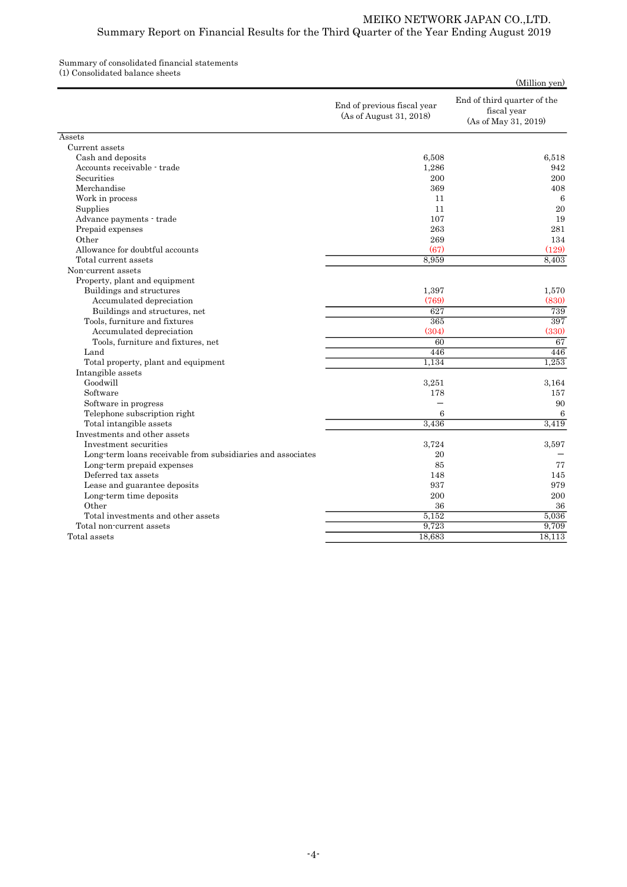## Summary of consolidated financial statements

(1) Consolidated balance sheets

| End of third quarter of the<br>End of previous fiscal year<br>fiscal year<br>(As of August 31, 2018)<br>(As of May 31, 2019)<br>Assets<br>Current assets<br>6,508<br>Cash and deposits<br>Accounts receivable - trade<br>1,286<br>Securities<br>200 |        |
|-----------------------------------------------------------------------------------------------------------------------------------------------------------------------------------------------------------------------------------------------------|--------|
|                                                                                                                                                                                                                                                     |        |
|                                                                                                                                                                                                                                                     |        |
|                                                                                                                                                                                                                                                     |        |
|                                                                                                                                                                                                                                                     | 6.518  |
|                                                                                                                                                                                                                                                     | 942    |
|                                                                                                                                                                                                                                                     | 200    |
| Merchandise<br>369                                                                                                                                                                                                                                  | 408    |
| Work in process<br>11                                                                                                                                                                                                                               | 6      |
| 11<br>Supplies                                                                                                                                                                                                                                      | 20     |
| 107<br>Advance payments - trade                                                                                                                                                                                                                     | 19     |
| 263<br>Prepaid expenses                                                                                                                                                                                                                             | 281    |
| Other<br>269                                                                                                                                                                                                                                        | 134    |
| (67)<br>Allowance for doubtful accounts                                                                                                                                                                                                             | (129)  |
| Total current assets<br>8,959                                                                                                                                                                                                                       | 8,403  |
| Non-current assets                                                                                                                                                                                                                                  |        |
| Property, plant and equipment                                                                                                                                                                                                                       |        |
| Buildings and structures<br>1,397                                                                                                                                                                                                                   | 1,570  |
| (769)<br>Accumulated depreciation                                                                                                                                                                                                                   | (830)  |
| 627<br>Buildings and structures, net                                                                                                                                                                                                                | 739    |
| Tools, furniture and fixtures<br>365                                                                                                                                                                                                                | 397    |
| Accumulated depreciation<br>(304)                                                                                                                                                                                                                   | (330)  |
| 60<br>Tools, furniture and fixtures, net                                                                                                                                                                                                            | 67     |
| 446<br>Land                                                                                                                                                                                                                                         | 446    |
| 1.134<br>Total property, plant and equipment                                                                                                                                                                                                        | 1,253  |
| Intangible assets                                                                                                                                                                                                                                   |        |
| Goodwill<br>3,251                                                                                                                                                                                                                                   | 3,164  |
| Software<br>178                                                                                                                                                                                                                                     | 157    |
| Software in progress                                                                                                                                                                                                                                | 90     |
| Telephone subscription right<br>6                                                                                                                                                                                                                   | 6      |
| Total intangible assets<br>3,436                                                                                                                                                                                                                    | 3,419  |
| Investments and other assets                                                                                                                                                                                                                        |        |
| Investment securities<br>3,724                                                                                                                                                                                                                      | 3,597  |
| Long-term loans receivable from subsidiaries and associates<br>20                                                                                                                                                                                   |        |
| 85<br>Long-term prepaid expenses                                                                                                                                                                                                                    | 77     |
| Deferred tax assets<br>148                                                                                                                                                                                                                          | 145    |
| 937<br>Lease and guarantee deposits                                                                                                                                                                                                                 | 979    |
| Long-term time deposits<br>200                                                                                                                                                                                                                      | 200    |
| Other<br>36                                                                                                                                                                                                                                         | 36     |
| Total investments and other assets<br>5.152                                                                                                                                                                                                         | 5,036  |
| 9,723<br>Total non-current assets                                                                                                                                                                                                                   | 9,709  |
| Total assets<br>18,683                                                                                                                                                                                                                              | 18,113 |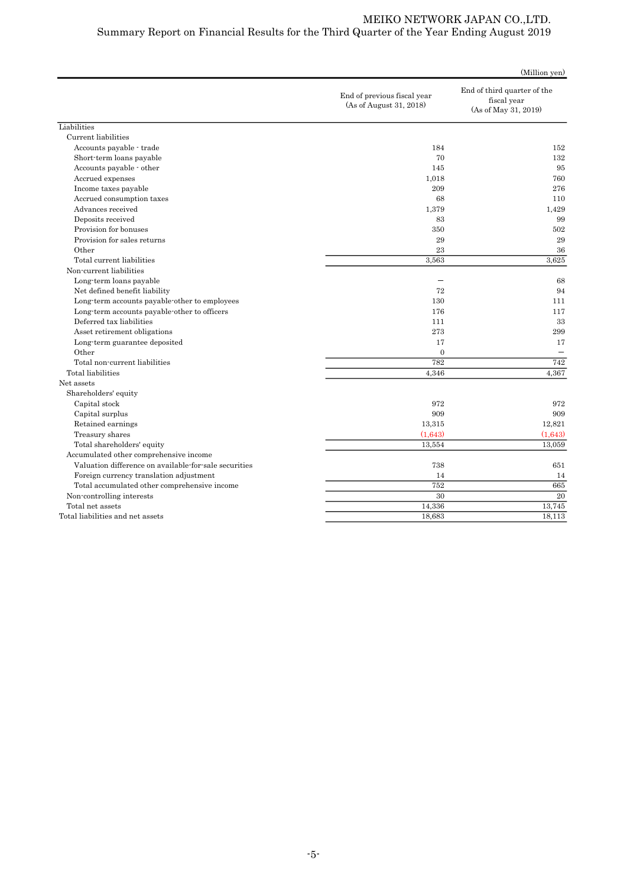|                                                       |                                                        | (Million yen)                                                      |
|-------------------------------------------------------|--------------------------------------------------------|--------------------------------------------------------------------|
|                                                       | End of previous fiscal year<br>(As of August 31, 2018) | End of third quarter of the<br>fiscal year<br>(As of May 31, 2019) |
| Liabilities                                           |                                                        |                                                                    |
| Current liabilities                                   |                                                        |                                                                    |
| Accounts payable - trade                              | 184                                                    | 152                                                                |
| Short-term loans payable                              | 70                                                     | 132                                                                |
| Accounts payable - other                              | 145                                                    | 95                                                                 |
| Accrued expenses                                      | 1,018                                                  | 760                                                                |
| Income taxes payable                                  | 209                                                    | 276                                                                |
| Accrued consumption taxes                             | 68                                                     | 110                                                                |
| Advances received                                     | 1,379                                                  | 1,429                                                              |
| Deposits received                                     | 83                                                     | 99                                                                 |
| Provision for bonuses                                 | 350                                                    | 502                                                                |
| Provision for sales returns                           | 29                                                     | 29                                                                 |
| Other                                                 | 23                                                     | 36                                                                 |
| Total current liabilities                             | 3,563                                                  | 3,625                                                              |
| Non-current liabilities                               |                                                        |                                                                    |
| Long-term loans payable                               |                                                        | 68                                                                 |
| Net defined benefit liability                         | 72                                                     | 94                                                                 |
| Long-term accounts payable-other to employees         | 130                                                    | 111                                                                |
| Long-term accounts payable-other to officers          | 176                                                    | 117                                                                |
| Deferred tax liabilities                              | 111                                                    | 33                                                                 |
| Asset retirement obligations                          | 273                                                    | 299                                                                |
| Long-term guarantee deposited                         | 17                                                     | 17                                                                 |
| Other                                                 | $\overline{0}$                                         |                                                                    |
| Total non-current liabilities                         | 782                                                    | 742                                                                |
| Total liabilities                                     | 4,346                                                  | 4,367                                                              |
| Net assets                                            |                                                        |                                                                    |
| Shareholders' equity                                  |                                                        |                                                                    |
| Capital stock                                         | 972                                                    | 972                                                                |
| Capital surplus                                       | 909                                                    | 909                                                                |
| Retained earnings                                     | 13,315                                                 | 12,821                                                             |
| Treasury shares                                       | (1,643)                                                | (1,643)                                                            |
| Total shareholders' equity                            | 13,554                                                 | 13,059                                                             |
| Accumulated other comprehensive income                |                                                        |                                                                    |
| Valuation difference on available for sale securities | 738                                                    | 651                                                                |
| Foreign currency translation adjustment               | 14                                                     | 14                                                                 |
| Total accumulated other comprehensive income          | 752                                                    | 665                                                                |
| Non-controlling interests                             | 30                                                     | 20                                                                 |
| Total net assets                                      | 14,336                                                 | 13,745                                                             |
| Total liabilities and net assets                      | 18,683                                                 | 18,113                                                             |
|                                                       |                                                        |                                                                    |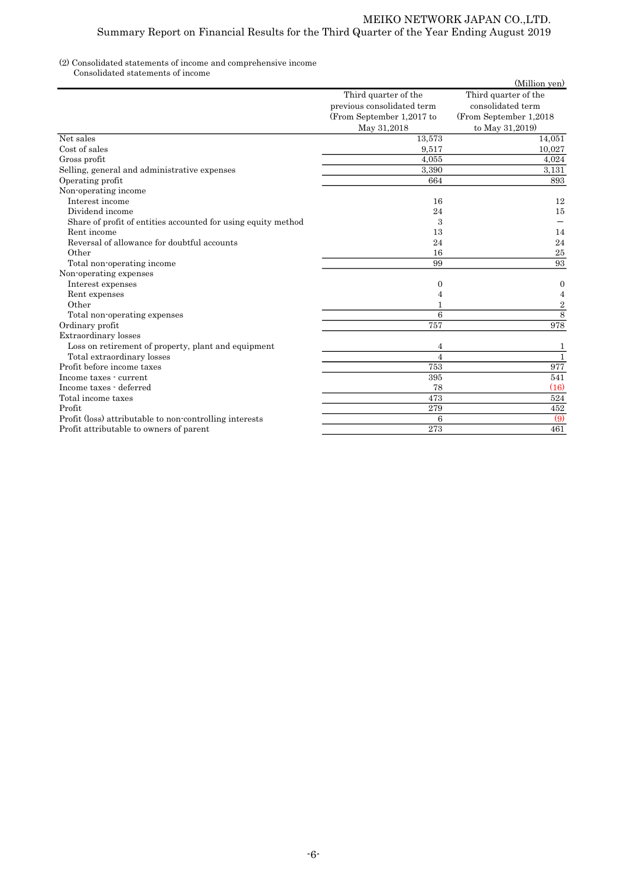### (2) Consolidated statements of income and comprehensive income

Consolidated statements of income

|                                                               |                            | (Million yen)           |
|---------------------------------------------------------------|----------------------------|-------------------------|
|                                                               | Third quarter of the       | Third quarter of the    |
|                                                               | previous consolidated term | consolidated term       |
|                                                               | (From September 1,2017 to  | (From September 1,2018) |
|                                                               | May 31,2018                | to May 31,2019)         |
| Net sales                                                     | 13,573                     | 14.051                  |
| Cost of sales                                                 | 9,517                      | 10.027                  |
| Gross profit                                                  | 4.055                      | 4.024                   |
| Selling, general and administrative expenses                  | 3,390                      | 3.131                   |
| Operating profit                                              | 664                        | 893                     |
| Non-operating income                                          |                            |                         |
| Interest income                                               | 16                         | 12                      |
| Dividend income                                               | 24                         | 15                      |
| Share of profit of entities accounted for using equity method | 3                          |                         |
| Rent income                                                   | 13                         | 14                      |
| Reversal of allowance for doubtful accounts                   | 24                         | 24                      |
| Other                                                         | 16                         | 25                      |
| Total non-operating income                                    | 99                         | 93                      |
| Non-operating expenses                                        |                            |                         |
| Interest expenses                                             | 0                          | $\boldsymbol{0}$        |
| Rent expenses                                                 | 4                          | 4                       |
| Other                                                         |                            | $\overline{2}$          |
| Total non-operating expenses                                  | $\overline{6}$             | 8                       |
| Ordinary profit                                               | 757                        | 978                     |
| Extraordinary losses                                          |                            |                         |
| Loss on retirement of property, plant and equipment           | 4                          | 1                       |
| Total extraordinary losses                                    | $\overline{4}$             | $\mathbf{1}$            |
| Profit before income taxes                                    | 753                        | 977                     |
| Income taxes - current                                        | 395                        | 541                     |
| Income taxes - deferred                                       | 78                         | (16)                    |
| Total income taxes                                            | 473                        | 524                     |
| Profit                                                        | 279                        | 452                     |
| Profit (loss) attributable to non-controlling interests       | 6                          | (9)                     |
| Profit attributable to owners of parent                       | 273                        | 461                     |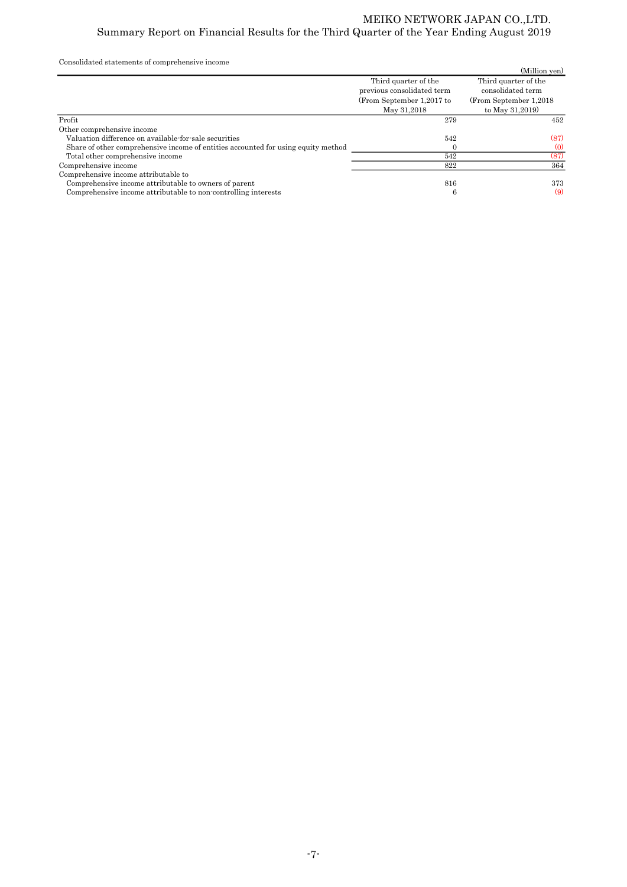Consolidated statements of comprehensive income

| Consolidated statements of comprehensive income                                   |                            |                         |
|-----------------------------------------------------------------------------------|----------------------------|-------------------------|
|                                                                                   |                            | (Million yen)           |
|                                                                                   | Third quarter of the       | Third quarter of the    |
|                                                                                   | previous consolidated term | consolidated term       |
|                                                                                   | (From September 1,2017 to  | (From September 1,2018) |
|                                                                                   | May 31,2018                | to May 31,2019)         |
| Profit                                                                            | 279                        | 452                     |
| Other comprehensive income                                                        |                            |                         |
| Valuation difference on available-for-sale securities                             | 542                        | (87)                    |
| Share of other comprehensive income of entities accounted for using equity method |                            | (0)                     |
| Total other comprehensive income                                                  | 542                        | (87)                    |
| Comprehensive income                                                              | 822                        | 364                     |
| Comprehensive income attributable to                                              |                            |                         |
| Comprehensive income attributable to owners of parent                             | 816                        | 373                     |
| Comprehensive income attributable to non-controlling interests                    | 6                          | (9)                     |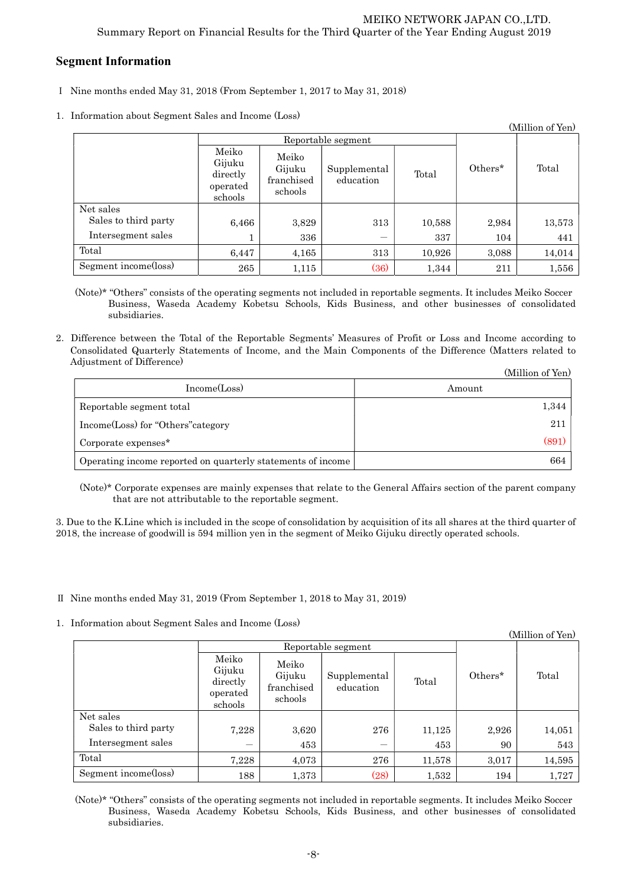## Segment Information

- Ⅰ Nine months ended May 31, 2018 (From September 1, 2017 to May 31, 2018)
- 1.Information about Segment Sales and Income (Loss)

| (Million of Yen)     |                                                    |                                          |                           |        |         |        |
|----------------------|----------------------------------------------------|------------------------------------------|---------------------------|--------|---------|--------|
|                      | Reportable segment                                 |                                          |                           |        |         |        |
|                      | Meiko<br>Gijuku<br>directly<br>operated<br>schools | Meiko<br>Gijuku<br>franchised<br>schools | Supplemental<br>education | Total  | Others* | Total  |
| Net sales            |                                                    |                                          |                           |        |         |        |
| Sales to third party | 6,466                                              | 3,829                                    | 313                       | 10,588 | 2,984   | 13,573 |
| Intersegment sales   | Ŧ.                                                 | 336                                      | -                         | 337    | 104     | 441    |
| Total                | 6,447                                              | 4,165                                    | 313                       | 10,926 | 3,088   | 14,014 |
| Segment income(loss) | 265                                                | 1,115                                    | (36)                      | 1,344  | 211     | 1,556  |

(Note)\* "Others" consists of the operating segments not included in reportable segments. It includes Meiko Soccer Business, Waseda Academy Kobetsu Schools, Kids Business, and other businesses of consolidated subsidiaries.

2.Difference between the Total of the Reportable Segments' Measures of Profit or Loss and Income according to Consolidated Quarterly Statements of Income, and the Main Components of the Difference (Matters related to Adjustment of Difference)  $(11)$   $(37)$ 

|                                                             | (Million of Yen) |
|-------------------------------------------------------------|------------------|
| Income(Loss)                                                | Amount           |
| Reportable segment total                                    | 1,344            |
| Income(Loss) for "Others" category                          | 211              |
| Corporate expenses <sup>*</sup>                             | (891)            |
| Operating income reported on quarterly statements of income | 664              |

(Note)\* Corporate expenses are mainly expenses that relate to the General Affairs section of the parent company that are not attributable to the reportable segment.

3. Due to the K.Line which is included in the scope of consolidation by acquisition of its all shares at the third quarter of 2018, the increase of goodwill is 594 million yen in the segment of Meiko Gijuku directly operated schools.

Ⅱ Nine months ended May 31, 2019 (From September 1, 2018 to May 31, 2019)

1.Information about Segment Sales and Income (Loss)

|                      |                                                    |                                          |                           |        |         | (Million of Yen) |
|----------------------|----------------------------------------------------|------------------------------------------|---------------------------|--------|---------|------------------|
|                      | Reportable segment                                 |                                          |                           |        |         |                  |
|                      | Meiko<br>Gijuku<br>directly<br>operated<br>schools | Meiko<br>Gijuku<br>franchised<br>schools | Supplemental<br>education | Total  | Others* | Total            |
| Net sales            |                                                    |                                          |                           |        |         |                  |
| Sales to third party | 7,228                                              | 3,620                                    | 276                       | 11,125 | 2,926   | 14,051           |
| Intersegment sales   |                                                    | 453                                      |                           | 453    | 90      | 543              |
| Total                | 7,228                                              | 4,073                                    | 276                       | 11,578 | 3,017   | 14,595           |
| Segment income(loss) | 188                                                | 1,373                                    | (28)                      | 1,532  | 194     | 1,727            |

(Note)\* "Others" consists of the operating segments not included in reportable segments. It includes Meiko Soccer Business, Waseda Academy Kobetsu Schools, Kids Business, and other businesses of consolidated subsidiaries.